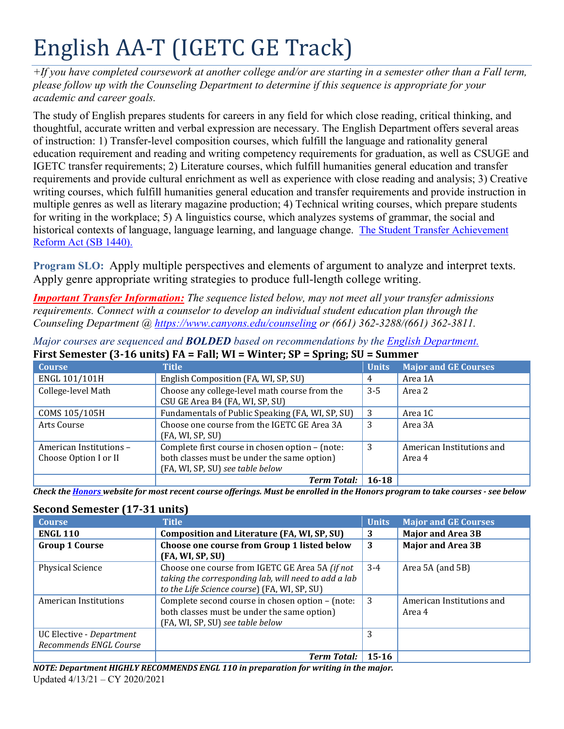# English AA-T (IGETC GE Track)

*+If you have completed coursework at another college and/or are starting in a semester other than a Fall term, please follow up with the Counseling Department to determine if this sequence is appropriate for your academic and career goals.*

 of instruction: 1) Transfer-level composition courses, which fulfill the language and rationality general education requirement and reading and writing competency requirements for graduation, as well as CSUGE and requirements and provide cultural enrichment as well as experience with close reading and analysis; 3) Creative multiple genres as well as literary magazine production; 4) Technical writing courses, which prepare students historical contexts of language, language learning, and language change. The Student Transfer Achievement The study of English prepares students for careers in any field for which close reading, critical thinking, and thoughtful, accurate written and verbal expression are necessary. The English Department offers several areas IGETC transfer requirements; 2) Literature courses, which fulfill humanities general education and transfer writing courses, which fulfill humanities general education and transfer requirements and provide instruction in for writing in the workplace; 5) A linguistics course, which analyzes systems of grammar, the social and Reform Act (SB 1440).

 **Program SLO:** Apply multiple perspectives and elements of argument to analyze and interpret texts. Apply genre appropriate writing strategies to produce full-length college writing.

*Important Transfer Information: The sequence listed below, may not meet all your transfer admissions requirements. Connect with a counselor to develop an individual student education plan through the Counseling Department @<https://www.canyons.edu/counseling> or (661) 362-3288/(661) 362-3811.* 

| <b>Course</b>           | <b>Title</b>                                     | <b>Units</b> | <b>Major and GE Courses</b> |
|-------------------------|--------------------------------------------------|--------------|-----------------------------|
| ENGL 101/101H           | English Composition (FA, WI, SP, SU)             | 4            | Area 1A                     |
| College-level Math      | Choose any college-level math course from the    | $3 - 5$      | Area 2                      |
|                         | CSU GE Area B4 (FA, WI, SP, SU)                  |              |                             |
| COMS 105/105H           | Fundamentals of Public Speaking (FA, WI, SP, SU) | -3           | Area 1C                     |
| Arts Course             | Choose one course from the IGETC GE Area 3A      | 3            | Area 3A                     |
|                         | (FA, WI, SP, SU)                                 |              |                             |
| American Institutions - | Complete first course in chosen option - (note:  | 3            | American Institutions and   |
| Choose Option I or II   | both classes must be under the same option)      |              | Area 4                      |
|                         | (FA, WI, SP, SU) see table below                 |              |                             |
|                         | <b>Term Total:</b>                               | $16 - 18$    |                             |

*Major courses are sequenced and BOLDED based on recommendations by the English Department.*  **First Semester (3-16 units) FA = Fall; WI = Winter; SP = Spring; SU = Summer** 

 *Check the Honors website for most recent course offerings. Must be enrolled in the Honors program to take courses - see below* 

## **Second Semester (17-31 units)**

| <b>Course</b>                                      | <b>Title</b>                                                                                                                                            | <b>Units</b> | <b>Major and GE Courses</b>         |
|----------------------------------------------------|---------------------------------------------------------------------------------------------------------------------------------------------------------|--------------|-------------------------------------|
| <b>ENGL 110</b>                                    | Composition and Literature (FA, WI, SP, SU)                                                                                                             | 3            | <b>Major and Area 3B</b>            |
| <b>Group 1 Course</b>                              | Choose one course from Group 1 listed below<br>(FA, WI, SP, SU)                                                                                         | 3            | <b>Major and Area 3B</b>            |
| <b>Physical Science</b>                            | Choose one course from IGETC GE Area 5A (if not<br>taking the corresponding lab, will need to add a lab<br>to the Life Science course) (FA, WI, SP, SU) | $3-4$        | Area 5A (and 5B)                    |
| American Institutions                              | Complete second course in chosen option - (note:<br>both classes must be under the same option)<br>(FA, WI, SP, SU) see table below                     | 3            | American Institutions and<br>Area 4 |
| UC Elective - Department<br>Recommends ENGL Course |                                                                                                                                                         | 3            |                                     |
|                                                    | <b>Term Total:</b>                                                                                                                                      | $15-16$      |                                     |

 Updated 4/13/21 – CY 2020/2021 *NOTE: Department HIGHLY RECOMMENDS ENGL 110 in preparation for writing in the major.*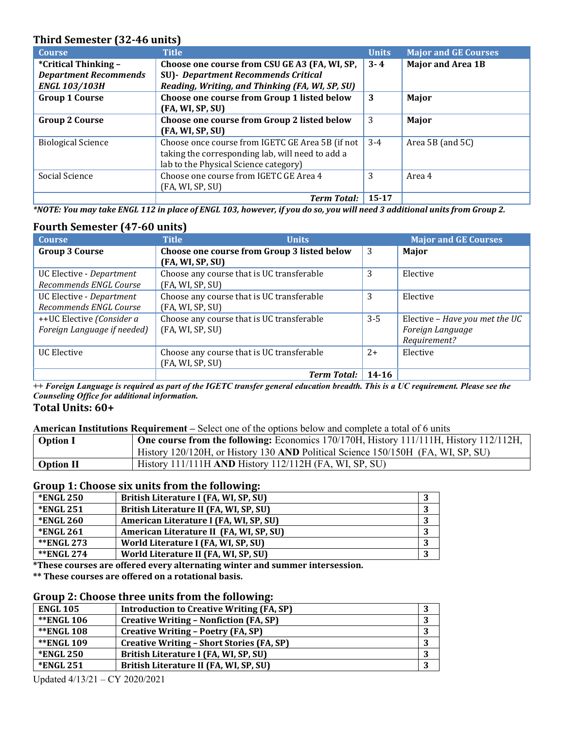### **Third Semester (32-46 units)**

| <b>Course</b>                | <b>Title</b>                                     | <b>Units</b> | <b>Major and GE Courses</b> |
|------------------------------|--------------------------------------------------|--------------|-----------------------------|
| *Critical Thinking -         | Choose one course from CSU GE A3 (FA, WI, SP,    | $3 - 4$      | <b>Major and Area 1B</b>    |
| <b>Department Recommends</b> | <b>SU)</b> - Department Recommends Critical      |              |                             |
| <b>ENGL 103/103H</b>         | Reading, Writing, and Thinking (FA, WI, SP, SU)  |              |                             |
| <b>Group 1 Course</b>        | Choose one course from Group 1 listed below      | 3            | Major                       |
|                              | (FA, WI, SP, SU)                                 |              |                             |
| <b>Group 2 Course</b>        | Choose one course from Group 2 listed below      | 3            | Major                       |
|                              | (FA, WI, SP, SU)                                 |              |                             |
| <b>Biological Science</b>    | Choose once course from IGETC GE Area 5B (if not | $3 - 4$      | Area 5B (and 5C)            |
|                              | taking the corresponding lab, will need to add a |              |                             |
|                              | lab to the Physical Science category)            |              |                             |
| Social Science               | Choose one course from IGETC GE Area 4           | 3            | Area 4                      |
|                              | (FA, WI, SP, SU)                                 |              |                             |
|                              | <b>Term Total:</b>                               | $15 - 17$    |                             |

 *\*NOTE: You may take ENGL 112 in place of ENGL 103, however, if you do so, you will need 3 additional units from Group 2.*

| <b>Fourth Semester (47-60 units)</b> |                                             |         |                                |  |
|--------------------------------------|---------------------------------------------|---------|--------------------------------|--|
| <b>Course</b>                        | <b>Title</b><br><b>Units</b>                |         | <b>Major and GE Courses</b>    |  |
| <b>Group 3 Course</b>                | Choose one course from Group 3 listed below | 3       | Major                          |  |
|                                      | (FA, WI, SP, SU)                            |         |                                |  |
| UC Elective - Department             | Choose any course that is UC transferable   | 3       | Elective                       |  |
| Recommends ENGL Course               | (FA, WI, SP, SU)                            |         |                                |  |
| UC Elective - Department             | Choose any course that is UC transferable   | 3       | Elective                       |  |
| Recommends ENGL Course               | (FA, WI, SP, SU)                            |         |                                |  |
| ++UC Elective (Consider a            | Choose any course that is UC transferable   | $3 - 5$ | Elective - Have you met the UC |  |
| Foreign Language if needed)          | (FA, WI, SP, SU)                            |         | Foreign Language               |  |
|                                      |                                             |         | Requirement?                   |  |
| <b>UC Elective</b>                   | Choose any course that is UC transferable   | $2+$    | Elective                       |  |
|                                      | (FA, WI, SP, SU)                            |         |                                |  |
|                                      | <b>Term Total:</b>                          | 14-16   |                                |  |

*++ Foreign Language is required as part of the IGETC transfer general education breadth. This is a UC requirement. Please see the Counseling Office for additional information.* 

#### **Total Units: 60+**

**American Institutions Requirement –** Select one of the options below and complete a total of 6 units

| <b>Option I</b>  | <b>One course from the following:</b> Economics 170/170H, History 111/111H, History 112/112H, |
|------------------|-----------------------------------------------------------------------------------------------|
|                  | History 120/120H, or History 130 AND Political Science 150/150H (FA, WI, SP, SU)              |
| <b>Option II</b> | History $111/111H$ AND History $112/112H$ (FA, WI, SP, SU)                                    |

#### **Group 1: Choose six units from the following:**

| <b>*ENGL 250</b> | British Literature I (FA, WI, SP, SU)   |   |
|------------------|-----------------------------------------|---|
| *ENGL 251        | British Literature II (FA, WI, SP, SU)  |   |
| <b>*ENGL 260</b> | American Literature I (FA, WI, SP, SU)  |   |
| *ENGL 261        | American Literature II (FA, WI, SP, SU) |   |
| **ENGL 273       | World Literature I (FA, WI, SP, SU)     |   |
| **ENGL 274       | World Literature II (FA, WI, SP, SU)    | 3 |
|                  |                                         |   |

**\*These courses are offered every alternating winter and summer intersession.**

 **\*\* These courses are offered on a rotational basis.**

#### **Group 2: Choose three units from the following:**

| <b>ENGL 105</b>   | <b>Introduction to Creative Writing (FA, SP)</b> |   |
|-------------------|--------------------------------------------------|---|
| <b>**ENGL 106</b> | <b>Creative Writing - Nonfiction (FA, SP)</b>    | 3 |
| **ENGL 108        | <b>Creative Writing - Poetry (FA, SP)</b>        |   |
| **ENGL 109        | <b>Creative Writing - Short Stories (FA, SP)</b> | 3 |
| <b>*ENGL 250</b>  | British Literature I (FA, WI, SP, SU)            | 3 |
| *ENGL 251         | British Literature II (FA, WI, SP, SU)           |   |

Updated 4/13/21 – CY 2020/2021